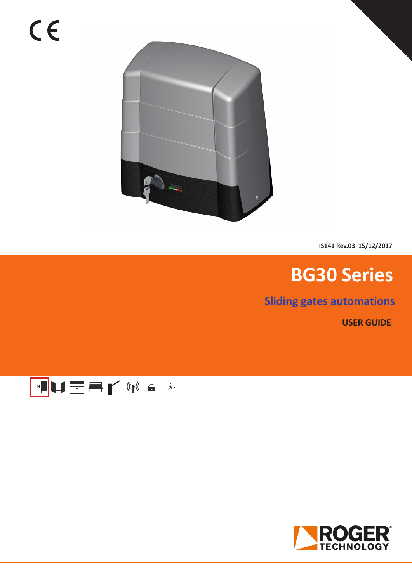

**IS141 Rev.03 15/12/2017**

## **BG30 Series**

**Sliding gates automations**

**USER GUIDE**



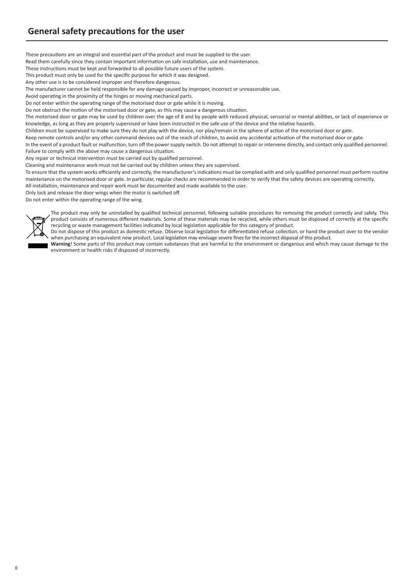These precautions are an integral and essential part of the product and must be supplied to the user.

Read them carefully since they contain important information on safe installation, use and maintenance.

These instructions must be kept and forwarded to all possible future users of the system.

This product must only be used for the specific purpose for which it was designed.

Any other use is to be considered improper and therefore dangerous.

The manufacturer cannot be held responsible for any damage caused by improper, incorrect or unreasonable use.

Avoid operating in the proximity of the hinges or moving mechanical parts.

Do not enter within the operating range of the motorised door or gate while it is moving.

Do not obstruct the motion of the motorised door or gate, as this may cause a dangerous situation.

The motorised door or gate may be used by children over the age of 8 and by people with reduced physical, sensorial or mental abilities, or lack of experience or knowledge, as long as they are properly supervised or have been instructed in the safe use of the device and the relative hazards.

Children must be supervised to make sure they do not play with the device, nor play/remain in the sphere of action of the motorised door or gate.

Keep remote controls and/or any other command devices out of the reach of children, to avoid any accidental activation of the motorised door or gate.

In the event of a product fault or malfunction, turn off the power supply switch. Do not attempt to repair or intervene directly, and contact only qualified personnel. Failure to comply with the above may cause a dangerous situation.

Any repair or technical intervention must be carried out by qualified personnel.

Cleaning and maintenance work must not be carried out by children unless they are supervised.

To ensure that the system works efficiently and correctly, the manufacturer's indications must be complied with and only qualified personnel must perform routine maintenance on the motorised door or gate. In particular, regular checks are recommended in order to verify that the safety devices are operating correctly. All installation, maintenance and repair work must be documented and made available to the user.

Only lock and release the door wings when the motor is switched off.

Do not enter within the operating range of the wing.



The product may only be uninstalled by qualified technical personnel, following suitable procedures for removing the product correctly and safely. This product consists of numerous different materials. Some of these materials may be recycled, while others must be disposed of correctly at the specific recycling or waste management facilities indicated by local legislation applicable for this category of product.

Do not dispose of this product as domestic refuse. Observe local legislation for differentiated refuse collection, or hand the product over to the vendor when purchasing an equivalent new product. Local legislation may envisage severe fines for the incorrect disposal of this product.

**Warning**! Some parts of this product may contain substances that are harmful to the environment or dangerous and which may cause damage to the environment or health risks if disposed of incorrectly.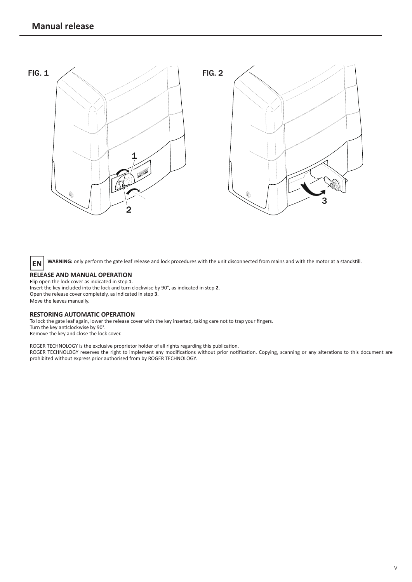

**EN** WARNING: only perform the gate leaf release and lock procedures with the unit disconnected from mains and with the motor at a standstill.

## **RELEASE AND MANUAL OPERATION**

Flip open the lock cover as indicated in step **1**. Insert the key included into the lock and turn clockwise by 90°, as indicated in step **2**. Open the release cover completely, as indicated in step **3**. Move the leaves manually.

## **RESTORING AUTOMATIC OPERATION**

To lock the gate leaf again, lower the release cover with the key inserted, taking care not to trap your fingers. Turn the key anticlockwise by 90°. Remove the key and close the lock cover.

ROGER TECHNOLOGY is the exclusive proprietor holder of all rights regarding this publication.

ROGER TECHNOLOGY reserves the right to implement any modifications without prior notification. Copying, scanning or any alterations to this document are prohibited without express prior authorised from by ROGER TECHNOLOGY.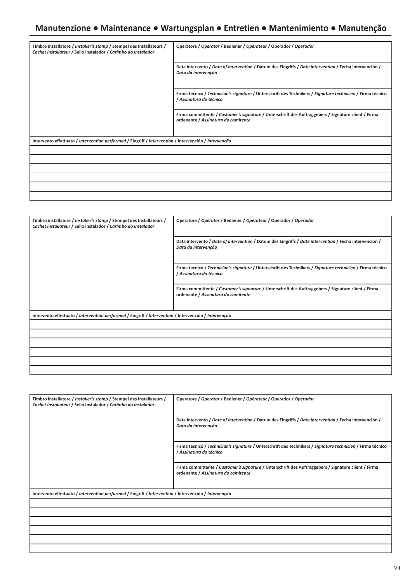## **Manutenzione ● Maintenance ● Wartungsplan ● Entretien ● Mantenimiento ● Manutenção**

| Timbro installatore / Installer's stamp / Stempel des Installateurs /<br>Cachet installateur / Sello instalador / Carimbo do instalador | Operatore / Operator / Bediener / Opérateur / Operador / Operador                                                                           |
|-----------------------------------------------------------------------------------------------------------------------------------------|---------------------------------------------------------------------------------------------------------------------------------------------|
|                                                                                                                                         | Data intervento / Date of intervention / Datum des Eingriffs / Date intervention / Fecha intervención /<br>Data da intervenção              |
|                                                                                                                                         | Firma tecnico / Technician's signature / Unterschrift des Technikers / Signature technicien / Firma técnico<br>/ Assinatura do técnico      |
|                                                                                                                                         | Firma committente / Customer's signature / Unterschrift des Auftraggebers / Signature client / Firma<br>ordenante / Assinatura do comitente |
| Intervento effettuato / Intervention performed / Eingriff / Intervention / Intervención / Intervenção                                   |                                                                                                                                             |
|                                                                                                                                         |                                                                                                                                             |
|                                                                                                                                         |                                                                                                                                             |
|                                                                                                                                         |                                                                                                                                             |
|                                                                                                                                         |                                                                                                                                             |
|                                                                                                                                         |                                                                                                                                             |
|                                                                                                                                         |                                                                                                                                             |

| Timbro installatore / Installer's stamp / Stempel des Installateurs /<br>Cachet installateur / Sello instalador / Carimbo do instalador | Operatore / Operator / Bediener / Opérateur / Operador / Operador                                                                           |
|-----------------------------------------------------------------------------------------------------------------------------------------|---------------------------------------------------------------------------------------------------------------------------------------------|
|                                                                                                                                         | Data intervento / Date of intervention / Datum des Eingriffs / Date intervention / Fecha intervención /<br>Data da intervenção              |
|                                                                                                                                         | Firma tecnico / Technician's signature / Unterschrift des Technikers / Signature technicien / Firma técnico<br>/ Assinatura do técnico      |
|                                                                                                                                         | Firma committente / Customer's signature / Unterschrift des Auftraggebers / Signature client / Firma<br>ordenante / Assinatura do comitente |
| Intervento effettuato / Intervention performed / Eingriff / Intervention / Intervención / Intervenção                                   |                                                                                                                                             |
|                                                                                                                                         |                                                                                                                                             |
|                                                                                                                                         |                                                                                                                                             |
|                                                                                                                                         |                                                                                                                                             |
|                                                                                                                                         |                                                                                                                                             |
|                                                                                                                                         |                                                                                                                                             |
|                                                                                                                                         |                                                                                                                                             |

| Timbro installatore / Installer's stamp / Stempel des Installateurs /<br>Cachet installateur / Sello instalador / Carimbo do instalador | Operatore / Operator / Bediener / Opérateur / Operador / Operador                                                                           |  |
|-----------------------------------------------------------------------------------------------------------------------------------------|---------------------------------------------------------------------------------------------------------------------------------------------|--|
|                                                                                                                                         | Data intervento / Date of intervention / Datum des Eingriffs / Date intervention / Fecha intervención /<br>Data da intervenção              |  |
|                                                                                                                                         | Firma tecnico / Technician's signature / Unterschrift des Technikers / Signature technicien / Firma técnico<br>/ Assinatura do técnico      |  |
|                                                                                                                                         | Firma committente / Customer's signature / Unterschrift des Auftraggebers / Signature client / Firma<br>ordenante / Assinatura do comitente |  |
| Intervento effettuato / Intervention performed / Eingriff / Intervention / Intervención / Intervenção                                   |                                                                                                                                             |  |
|                                                                                                                                         |                                                                                                                                             |  |
|                                                                                                                                         |                                                                                                                                             |  |
|                                                                                                                                         |                                                                                                                                             |  |
|                                                                                                                                         |                                                                                                                                             |  |
|                                                                                                                                         |                                                                                                                                             |  |